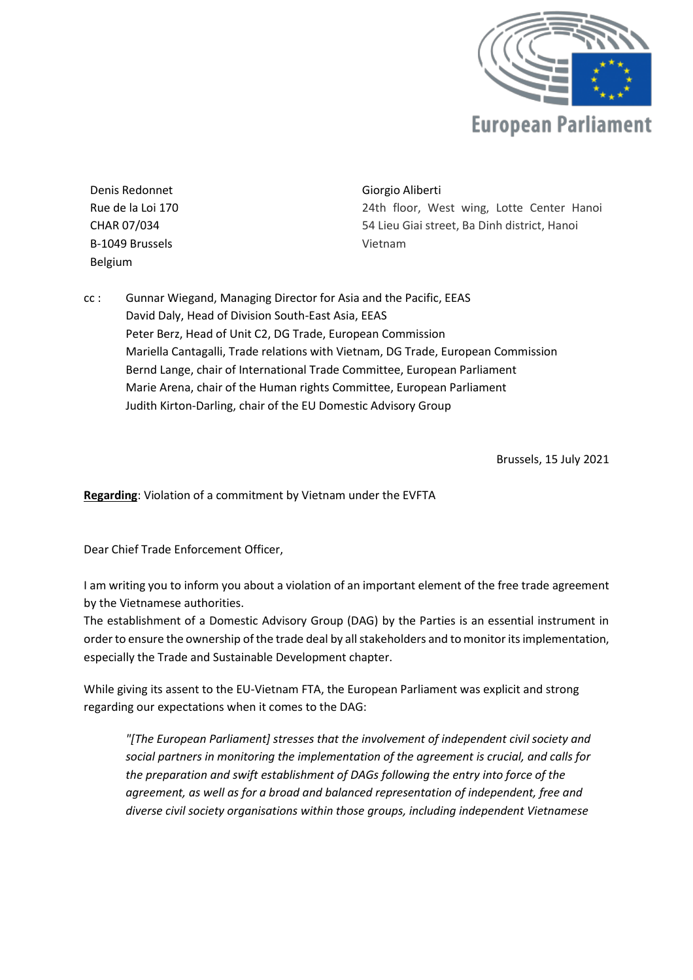

Denis Redonnet Rue de la Loi 170 CHAR 07/034 B-1049 Brussels Belgium

## Giorgio Aliberti

24th floor, West wing, Lotte Center Hanoi 54 Lieu Giai street, Ba Dinh district, Hanoi Vietnam

cc : Gunnar Wiegand, Managing Director for Asia and the Pacific, EEAS David Daly, Head of Division South-East Asia, EEAS Peter Berz, Head of Unit C2, DG Trade, European Commission Mariella Cantagalli, Trade relations with Vietnam, DG Trade, European Commission Bernd Lange, chair of International Trade Committee, European Parliament Marie Arena, chair of the Human rights Committee, European Parliament Judith Kirton-Darling, chair of the EU Domestic Advisory Group

Brussels, 15 July 2021

**Regarding**: Violation of a commitment by Vietnam under the EVFTA

Dear Chief Trade Enforcement Officer,

I am writing you to inform you about a violation of an important element of the free trade agreement by the Vietnamese authorities.

The establishment of a Domestic Advisory Group (DAG) by the Parties is an essential instrument in order to ensure the ownership of the trade deal by all stakeholders and to monitor its implementation, especially the Trade and Sustainable Development chapter.

While giving its assent to the EU-Vietnam FTA, the European Parliament was explicit and strong regarding our expectations when it comes to the DAG:

*"[The European Parliament] stresses that the involvement of independent civil society and social partners in monitoring the implementation of the agreement is crucial, and calls for the preparation and swift establishment of DAGs following the entry into force of the agreement, as well as for a broad and balanced representation of independent, free and diverse civil society organisations within those groups, including independent Vietnamese*